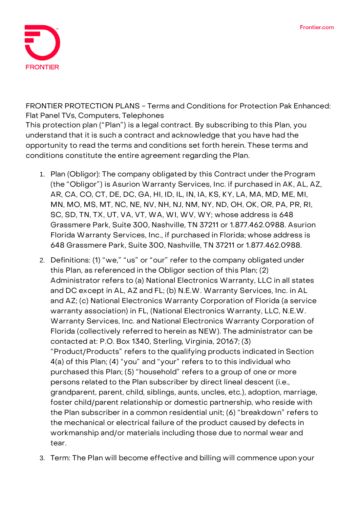

**FRONTIER PROTECTION PLANS - Terms and Conditions for Protection Pak Enhanced: Flat Panel TVs, Computers, Telephones**

This protection plan ("Plan") is a legal contract. By subscribing to this Plan, you understand that it is such a contract and acknowledge that you have had the opportunity to read the terms and conditions set forth herein. These terms and conditions constitute the entire agreement regarding the Plan.

- 1. **Plan (Obligor):** The company obligated by this Contract under the Program (the "Obligor") is Asurion Warranty Services, Inc. if purchased in AK, AL, AZ, AR, CA, CO, CT, DE, DC, GA, HI, ID, IL, IN, IA, KS, KY, LA, MA, MD, ME, MI, MN, MO, MS, MT, NC, NE, NV, NH, NJ, NM, NY, ND, OH, OK, OR, PA, PR, RI, SC, SD, TN, TX, UT, VA, VT, WA, WI, WV, WY; whose address is 648 Grassmere Park, Suite 300, Nashville, TN 37211 or 1.877.462.0988. Asurion Florida Warranty Services, Inc., if purchased in Florida; whose address is 648 Grassmere Park, Suite 300, Nashville, TN 37211 or 1.877.462.0988.
- 2. **Definitions:** (1) "we," "us" or "our" refer to the company obligated under this Plan, as referenced in the Obligor section of this Plan; (2) Administrator refers to (a) National Electronics Warranty, LLC in all states and DC except in AL, AZ and FL; (b) N.E.W. Warranty Services, Inc. in AL and AZ; (c) National Electronics Warranty Corporation of Florida (a service warranty association) in FL, (National Electronics Warranty, LLC, N.E.W. Warranty Services, Inc. and National Electronics Warranty Corporation of Florida (collectively referred to herein as NEW). The administrator can be contacted at: P.O. Box 1340, Sterling, Virginia, 20167; (3) "Product/Products" refers to the qualifying products indicated in Section 4(a) of this Plan; (4) "you" and "your" refers to to this individual who purchased this Plan; (5) "household" refers to a group of one or more persons related to the Plan subscriber by direct lineal descent (i.e., grandparent, parent, child, siblings, aunts, uncles, etc.), adoption, marriage, foster child/parent relationship or domestic partnership, who reside with the Plan subscriber in a common residential unit; (6) "breakdown" refers to the mechanical or electrical failure of the product caused by defects in workmanship and/or materials including those due to normal wear and tear.
- 3. **Term:** The Plan will become effective and billing will commence upon your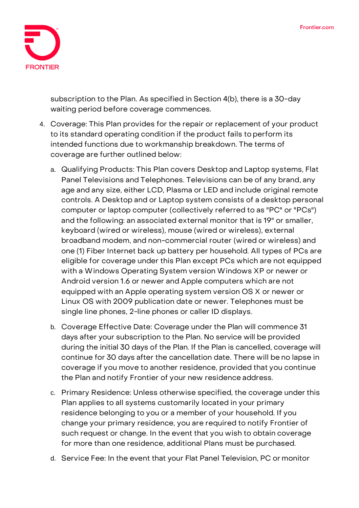

subscription to the Plan. **As specified in Section 4(b), there is a 30-day waiting period before coverage commences.**

- 4. **Coverage:** This Plan provides for the repair or replacement of your product to its standard operating condition if the product fails to perform its intended functions due to workmanship breakdown. The terms of coverage are further outlined below:
	- a. Qualifying Products: This Plan covers Desktop and Laptop systems, Flat Panel Televisions and Telephones. Televisions can be of any brand, any age and any size, either LCD, Plasma or LED and include original remote controls. A Desktop and or Laptop system consists of a desktop personal computer or laptop computer (collectively referred to as "PC" or "PCs") and the following: an associated external monitor that is 19" or smaller, keyboard (wired or wireless), mouse (wired or wireless), external broadband modem, and non-commercial router (wired or wireless) and one (1) Fiber Internet back up battery per household. All types of PCs are eligible for coverage under this Plan except PCs which are not equipped with a Windows Operating System version Windows XP or newer or Android version 1.6 or newer and Apple computers which are not equipped with an Apple operating system version OS X or newer or Linux OS with 2009 publication date or newer. Telephones must be single line phones, 2-line phones or caller ID displays.
	- b. Coverage Effective Date: **Coverage under the Plan will commence 31 days after your subscription to the Plan. No service will be provided during the initial 30 days of the Plan. If the Plan is cancelled, coverage will continue for 30 days after the cancellation date.** There will be no lapse in coverage if you move to another residence, provided that you continue the Plan and notify Frontier of your new residence address.
	- c. Primary Residence: Unless otherwise specified, the coverage under this Plan applies to all systems customarily located in your primary residence belonging to you or a member of your household. If you change your primary residence, you are required to notify Frontier of such request or change. In the event that you wish to obtain coverage for more than one residence, additional Plans must be purchased.
	- d. Service Fee: **In the event that your Flat Panel Television, PC or monitor**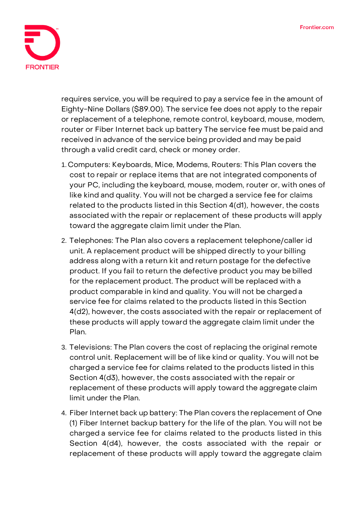

**requires service, you will be required to pay a service fee in the amount of Eighty-Nine Dollars (\$89.00).** The service fee does not apply to the repair or replacement of a telephone, remote control, keyboard, mouse, modem, router or Fiber Internet back up battery The service fee must be paid and received in advance of the service being provided and may be paid through a valid credit card, check or money order.

- 1. Computers: Keyboards, Mice, Modems, Routers: This Plan covers the cost to repair or replace items that are not integrated components of your PC, including the keyboard, mouse, modem, router or, with ones of like kind and quality. You will not be charged a service fee for claims related to the products listed in this Section 4(d1), however, the costs associated with the repair or replacement of these products will apply toward the aggregate claim limit under the Plan.
- 2. Telephones: The Plan also covers a replacement telephone/caller id unit. A replacement product will be shipped directly to your billing address along with a return kit and return postage for the defective product. If you fail to return the defective product you may be billed for the replacement product. The product will be replaced with a product comparable in kind and quality. You will not be charged a service fee for claims related to the products listed in this Section 4(d2), however, the costs associated with the repair or replacement of these products will apply toward the aggregate claim limit under the Plan.
- 3. Televisions: The Plan covers the cost of replacing the original remote control unit. Replacement will be of like kind or quality. You will not be charged a service fee for claims related to the products listed in this Section 4(d3), however, the costs associated with the repair or replacement of these products will apply toward the aggregate claim limit under the Plan.
- 4. Fiber Internet back up battery: The Plan covers the replacement of One (1) Fiber Internet backup battery for the life of the plan. You will not be charged a service fee for claims related to the products listed in this Section 4(d4), however, the costs associated with the repair or replacement of these products will apply toward the aggregate claim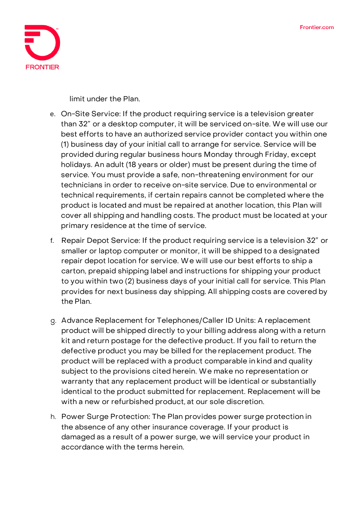

limit under the Plan.

- e. On-Site Service: If the product requiring service is a television greater than 32" or a desktop computer, it will be serviced on-site. We will use our best efforts to have an authorized service provider contact you within one (1) business day of your initial call to arrange for service. Service will be provided during regular business hours Monday through Friday, except holidays. An adult (18 years or older) must be present during the time of service. You must provide a safe, non-threatening environment for our technicians in order to receive on-site service. Due to environmental or technical requirements, if certain repairs cannot be completed where the product is located and must be repaired at another location, this Plan will cover all shipping and handling costs. The product must be located at your primary residence at the time of service.
- f. Repair Depot Service: If the product requiring service is a television 32" or smaller or laptop computer or monitor, it will be shipped to a designated repair depot location for service. We will use our best efforts to ship a carton, prepaid shipping label and instructions for shipping your product to you within two (2) business days of your initial call for service. This Plan provides for next business day shipping. All shipping costs are covered by the Plan.
- g. Advance Replacement for Telephones/Caller ID Units: A replacement product will be shipped directly to your billing address along with a return kit and return postage for the defective product. If you fail to return the defective product you may be billed for the replacement product. The product will be replaced with a product comparable in kind and quality subject to the provisions cited herein. We make no representation or warranty that any replacement product will be identical or substantially identical to the product submitted for replacement. Replacement will be with a new or refurbished product, at our sole discretion.
- h. Power Surge Protection: The Plan provides power surge protection in the absence of any other insurance coverage. If your product is damaged as a result of a power surge, we will service your product in accordance with the terms herein.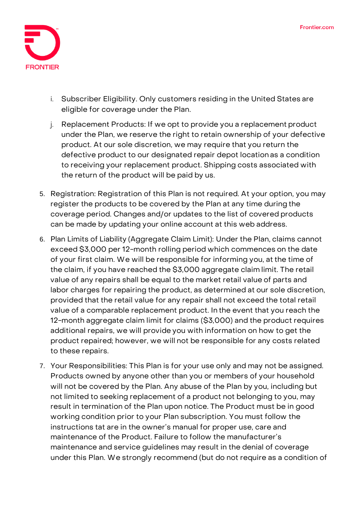

- i. Subscriber Eligibility. Only customers residing in the United States are eligible for coverage under the Plan.
- j. Replacement Products: If we opt to provide you a replacement product under the Plan, we reserve the right to retain ownership of your defective product. At our sole discretion, we may require that you return the defective product to our designated repair depot location as a condition to receiving your replacement product. Shipping costs associated with the return of the product will be paid by us.
- 5. **Registration:** Registration of this Plan is not required. At your option, you may register the products to be covered by the Plan at any time during the coverage period. Changes and/or updates to the list of covered products can be made by updating your online account at this web address.
- 6. **Plan Limits of Liability (Aggregate Claim Limit):** Under the Plan, claims cannot exceed \$3,000 per 12-month rolling period which commences on the date of your first claim. We will be responsible for informing you, at the time of the claim, if you have reached the \$3,000 aggregate claim limit. The retail value of any repairs shall be equal to the market retail value of parts and labor charges for repairing the product, as determined at our sole discretion, provided that the retail value for any repair shall not exceed the total retail value of a comparable replacement product. In the event that you reach the 12-month aggregate claim limit for claims (\$3,000) and the product requires additional repairs, we will provide you with information on how to get the product repaired; however, we will not be responsible for any costs related to these repairs.
- 7. **Your Responsibilities:** This Plan is for your use only and may not be assigned. Products owned by anyone other than you or members of your household will not be covered by the Plan. Any abuse of the Plan by you, including but not limited to seeking replacement of a product not belonging to you, may result in termination of the Plan upon notice. The Product must be in good working condition prior to your Plan subscription. You must follow the instructions tat are in the owner's manual for proper use, care and maintenance of the Product. Failure to follow the manufacturer's maintenance and service guidelines may result in the denial of coverage under this Plan. We strongly recommend (but do not require as a condition of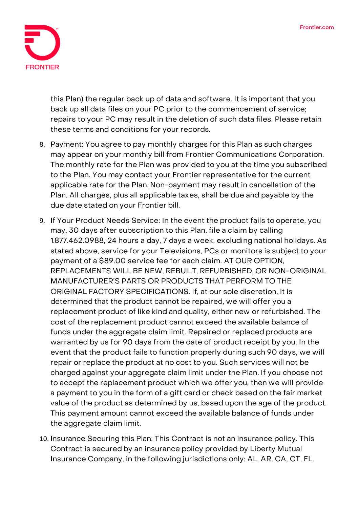

this Plan) the regular back up of data and software. It is important that you back up all data files on your PC prior to the commencement of service; repairs to your PC may result in the deletion of such data files. Please retain these terms and conditions for your records.

- 8. **Payment:** You agree to pay monthly charges for this Plan as such charges may appear on your monthly bill from Frontier Communications Corporation. The monthly rate for the Plan was provided to you at the time you subscribed to the Plan. You may contact your Frontier representative for the current applicable rate for the Plan. Non-payment may result in cancellation of the Plan. All charges, plus all applicable taxes, shall be due and payable by the due date stated on your Frontier bill.
- 9. **If Your Product Needs Service:** In the event the product fails to operate, you may, 30 days after subscription to this Plan, file a claim by calling 1.877.462.0988, 24 hours a day, 7 days a week, excluding national holidays. As stated above, service for your Televisions, PCs or monitors is subject to your payment of a \$89.00 service fee for each claim. **AT OUR OPTION, REPLACEMENTS WILL BE NEW, REBUILT, REFURBISHED, OR NON-ORIGINAL MANUFACTURER'S PARTS OR PRODUCTS THAT PERFORM TO THE ORIGINAL FACTORY SPECIFICATIONS.** If, at our sole discretion, it is determined that the product cannot be repaired, we will offer you a replacement product of like kind and quality, either new or refurbished. The cost of the replacement product cannot exceed the available balance of funds under the aggregate claim limit. Repaired or replaced products are warranted by us for 90 days from the date of product receipt by you. In the event that the product fails to function properly during such 90 days, we will repair or replace the product at no cost to you. Such services will not be charged against your aggregate claim limit under the Plan. If you choose not to accept the replacement product which we offer you, then we will provide a payment to you in the form of a gift card or check based on the fair market value of the product as determined by us, based upon the age of the product. This payment amount cannot exceed the available balance of funds under the aggregate claim limit.
- 10. **Insurance Securing this Plan:** This Contract is not an insurance policy. This Contract is secured by an insurance policy provided by Liberty Mutual Insurance Company, in the following jurisdictions only: AL, AR, CA, CT, FL,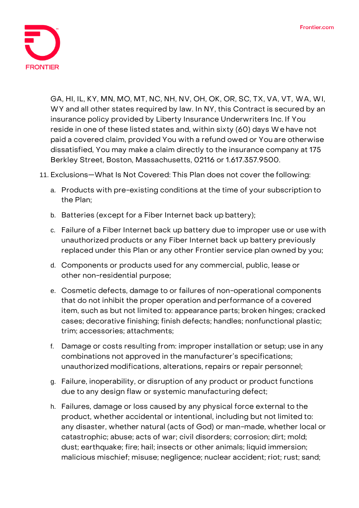

GA, HI, IL, KY, MN, MO, MT, NC, NH, NV, OH, OK, OR, SC, TX, VA, VT, WA, WI, WY and all other states required by law. In NY, this Contract is secured by an insurance policy provided by Liberty Insurance Underwriters Inc. If You reside in one of these listed states and, within sixty (60) days We have not paid a covered claim, provided You with a refund owed or You are otherwise dissatisfied, You may make a claim directly to the insurance company at 175 Berkley Street, Boston, Massachusetts, 02116 or 1.617.357.9500.

- 11. **Exclusions—What Is Not Covered:** This Plan does not cover the following:
	- a. Products with pre-existing conditions at the time of your subscription to the Plan;
	- b. Batteries (except for a Fiber Internet back up battery);
	- c. Failure of a Fiber Internet back up battery due to improper use or use with unauthorized products or any Fiber Internet back up battery previously replaced under this Plan or any other Frontier service plan owned by you;
	- d. Components or products used for any commercial, public, lease or other non-residential purpose;
	- e. Cosmetic defects, damage to or failures of non-operational components that do not inhibit the proper operation and performance of a covered item, such as but not limited to: appearance parts; broken hinges; cracked cases; decorative finishing; finish defects; handles; nonfunctional plastic; trim; accessories; attachments;
	- f. Damage or costs resulting from: improper installation or setup; use in any combinations not approved in the manufacturer's specifications; unauthorized modifications, alterations, repairs or repair personnel;
	- g. Failure, inoperability, or disruption of any product or product functions due to any design flaw or systemic manufacturing defect;
	- h. Failures, damage or loss caused by any physical force external to the product, whether accidental or intentional, including but not limited to: any disaster, whether natural (acts of God) or man-made, whether local or catastrophic; abuse; acts of war; civil disorders; corrosion; dirt; mold; dust; earthquake; fire; hail; insects or other animals; liquid immersion; malicious mischief; misuse; negligence; nuclear accident; riot; rust; sand;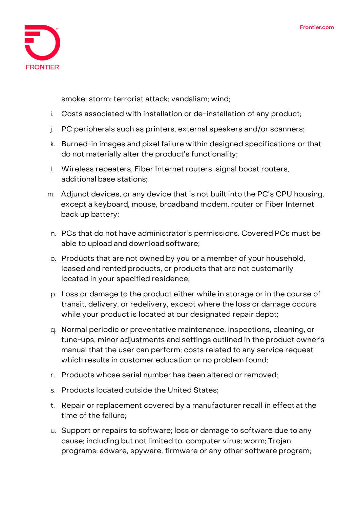

smoke; storm; terrorist attack; vandalism; wind;

- i. Costs associated with installation or de-installation of any product;
- j. PC peripherals such as printers, external speakers and/or scanners;
- k. Burned-in images and pixel failure within designed specifications or that do not materially alter the product's functionality;
- l. Wireless repeaters, Fiber Internet routers, signal boost routers, additional base stations;
- m. Adjunct devices, or any device that is not built into the PC's CPU housing, except a keyboard, mouse, broadband modem, router or Fiber Internet back up battery;
- n. PCs that do not have administrator's permissions. Covered PCs must be able to upload and download software;
- o. Products that are not owned by you or a member of your household, leased and rented products, or products that are not customarily located in your specified residence;
- p. Loss or damage to the product either while in storage or in the course of transit, delivery, or redelivery, except where the loss or damage occurs while your product is located at our designated repair depot;
- q. Normal periodic or preventative maintenance, inspections, cleaning, or tune-ups; minor adjustments and settings outlined in the product owner's manual that the user can perform; costs related to any service request which results in customer education or no problem found;
- r. Products whose serial number has been altered or removed;
- s. Products located outside the United States;
- t. Repair or replacement covered by a manufacturer recall in effect at the time of the failure;
- u. Support or repairs to software; loss or damage to software due to any cause; including but not limited to, computer virus; worm; Trojan programs; adware, spyware, firmware or any other software program;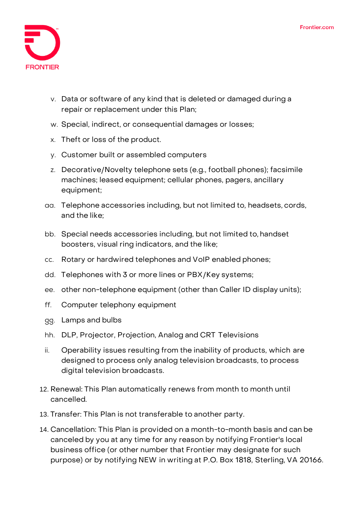

- v. Data or software of any kind that is deleted or damaged during a repair or replacement under this Plan;
- w. Special, indirect, or consequential damages or losses;
- x. Theft or loss of the product.
- y. Customer built or assembled computers
- z. Decorative/Novelty telephone sets (e.g., football phones); facsimile machines; leased equipment; cellular phones, pagers, ancillary equipment;
- aa. Telephone accessories including, but not limited to, headsets, cords, and the like;
- bb. Special needs accessories including, but not limited to, handset boosters, visual ring indicators, and the like;
- cc. Rotary or hardwired telephones and VoIP enabled phones;
- dd. Telephones with 3 or more lines or PBX/Key systems;
- ee. other non-telephone equipment (other than Caller ID display units);
- ff. Computer telephony equipment
- gg. Lamps and bulbs
- hh. DLP, Projector, Projection, Analog and CRT Televisions
- ii. Operability issues resulting from the inability of products, which are designed to process only analog television broadcasts, to process digital television broadcasts.
- 12. **Renewal:** This Plan automatically renews from month to month until cancelled.
- 13. **Transfer:** This Plan is not transferable to another party.
- 14. **Cancellation:** This Plan is provided on a month-to-month basis and can be canceled by you at any time for any reason by notifying Frontier's local business office (or other number that Frontier may designate for such purpose) or by notifying NEW in writing at P.O. Box 1818, Sterling, VA 20166.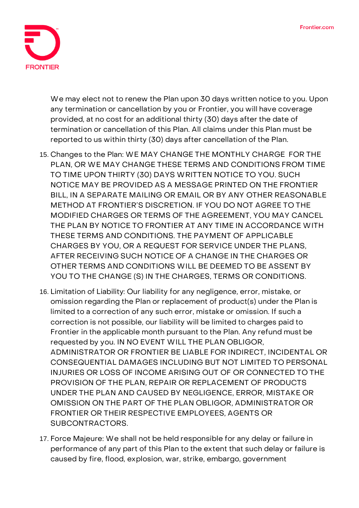

We may elect not to renew the Plan upon 30 days written notice to you. Upon any termination or cancellation by you or Frontier, you will have coverage provided, at no cost for an additional thirty (30) days after the date of termination or cancellation of this Plan. All claims under this Plan must be reported to us within thirty (30) days after cancellation of the Plan.

- 15. **Changes to the Plan:** WE MAY CHANGE THE MONTHLY CHARGE FOR THE PLAN, OR WE MAY CHANGE THESE TERMS AND CONDITIONS FROM TIME TO TIME UPON THIRTY (30) DAYS WRITTEN NOTICE TO YOU. SUCH NOTICE MAY BE PROVIDED AS A MESSAGE PRINTED ON THE FRONTIER BILL, IN A SEPARATE MAILING OR EMAIL OR BY ANY OTHER REASONABLE METHOD AT FRONTIER'S DISCRETION. IF YOU DO NOT AGREE TO THE MODIFIED CHARGES OR TERMS OF THE AGREEMENT, YOU MAY CANCEL THE PLAN BY NOTICE TO FRONTIER AT ANY TIME IN ACCORDANCE WITH THESE TERMS AND CONDITIONS. THE PAYMENT OF APPLICABLE CHARGES BY YOU, OR A REQUEST FOR SERVICE UNDER THE PLANS, AFTER RECEIVING SUCH NOTICE OF A CHANGE IN THE CHARGES OR OTHER TERMS AND CONDITIONS WILL BE DEEMED TO BE ASSENT BY YOU TO THE CHANGE (S) IN THE CHARGES, TERMS OR CONDITIONS.
- 16. **Limitation of Liability:** Our liability for any negligence, error, mistake, or omission regarding the Plan or replacement of product(s) under the Plan is limited to a correction of any such error, mistake or omission. If such a correction is not possible, our liability will be limited to charges paid to Frontier in the applicable month pursuant to the Plan. Any refund must be requested by you. IN NO EVENT WILL THE PLAN OBLIGOR, ADMINISTRATOR OR FRONTIER BE LIABLE FOR INDIRECT, INCIDENTAL OR CONSEQUENTIAL DAMAGES INCLUDING BUT NOT LIMITED TO PERSONAL INJURIES OR LOSS OF INCOME ARISING OUT OF OR CONNECTED TO THE PROVISION OF THE PLAN, REPAIR OR REPLACEMENT OF PRODUCTS UNDER THE PLAN AND CAUSED BY NEGLIGENCE, ERROR, MISTAKE OR OMISSION ON THE PART OF THE PLAN OBLIGOR, ADMINISTRATOR OR FRONTIER OR THEIR RESPECTIVE EMPLOYEES, AGENTS OR SUBCONTRACTORS.
- 17. **Force Majeure:** We shall not be held responsible for any delay or failure in performance of any part of this Plan to the extent that such delay or failure is caused by fire, flood, explosion, war, strike, embargo, government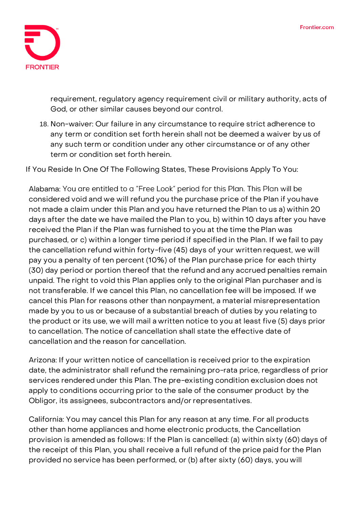

requirement, regulatory agency requirement civil or military authority, acts of God, or other similar causes beyond our control.

18. **Non-waiver:** Our failure in any circumstance to require strict adherence to any term or condition set forth herein shall not be deemed a waiver by us of any such term or condition under any other circumstance or of any other term or condition set forth herein.

**If You Reside In One Of The Following States, These Provisions Apply To You:**

Alabama: You are entitled to a "Free Look" period for this Plan. This Plan will be considered void and we will refund you the purchase price of the Plan if youhave not made a claim under this Plan and you have returned the Plan to us a) within 20 days after the date we have mailed the Plan to you, b) within 10 days after you have received the Plan if the Plan was furnished to you at the time thePlan was purchased, or c) within a longer time period if specified in the Plan. If we fail to pay the cancellation refund within forty-five (45) days of your written request, we will pay you a penalty of ten percent (10%) of the Plan purchase price for each thirty (30) day period or portion thereof that the refund and any accrued penalties remain unpaid. The right to void this Plan applies only to the original Plan purchaser and is not transferable. If we cancel this Plan, no cancellation fee will be imposed. If we cancel this Plan for reasons other than nonpayment, a material misrepresentation made by you to us or because of a substantial breach of duties by you relating to the product or its use, we will mail a written notice to you at least five (5) days prior to cancellation. The notice of cancellation shall state the effective date of cancellation and the reason for cancellation.

**Arizona:** If your written notice of cancellation is received prior to the expiration date, the administrator shall refund the remaining pro-rata price, regardless of prior services rendered under this Plan. The pre-existing condition exclusion does not apply to conditions occurring prior to the sale of the consumer product by the Obligor, its assignees, subcontractors and/or representatives.

**California:** You may cancel this Plan for any reason at any time. For all products other than home appliances and home electronic products, the Cancellation provision is amended as follows: If the Plan is cancelled: (a) within sixty (60) days of the receipt of this Plan, you shall receive a full refund of the price paid for the Plan provided no service has been performed, or (b) after sixty (60) days, you will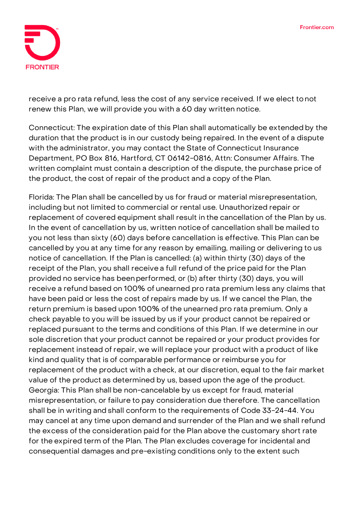

receive a pro rata refund, less the cost of any service received. If we elect tonot renew this Plan, we will provide you with a 60 day written notice.

**Connecticut:** The expiration date of this Plan shall automatically be extended by the duration that the product is in our custody being repaired. In the event of a dispute with the administrator, you may contact the State of Connecticut Insurance Department, PO Box 816, Hartford, CT 06142-0816, Attn: Consumer Affairs. The written complaint must contain a description of the dispute, the purchase price of the product, the cost of repair of the product and a copy ofthe Plan.

**Florida:** The Plan shall be cancelled by us for fraud or material misrepresentation, including but not limited to commercial or rental use. Unauthorized repair or replacement of covered equipment shall result in the cancellation of the Plan by us. In the event of cancellation by us, written notice of cancellation shall be mailed to you not less than sixty (60) days before cancellation is effective. This Plan can be cancelled by you at any time for any reason by emailing, mailing or delivering to us notice of cancellation. If the Plan is cancelled: (a) within thirty (30) days of the receipt of the Plan, you shall receive a full refund of the price paid for the Plan provided no service has beenperformed, or (b) after thirty (30) days, you will receive a refund based on 100% of unearned pro rata premium less any claims that have been paid or less the cost of repairs made by us. If we cancel the Plan, the return premium is based upon 100% of the unearned pro rata premium. Only a check payable to you will be issued by us if your product cannot be repaired or replaced pursuant to the terms and conditions of this Plan. If we determine in our sole discretion that your product cannot be repaired or your product provides for replacement instead of repair, we will replace your product with a product of like kind and quality that is of comparable performance or reimburse you for replacement of the product with a check, at our discretion, equal to the fair market value of the product as determined by us, based upon the age of the product. Georgia: This Plan shall be non-cancelable by us except for fraud, material misrepresentation, or failure to pay consideration due therefore. The cancellation shall be in writing and shall conform to the requirements of Code 33-24-44. You may cancel at any time upon demand and surrender of the Plan and we shall refund the excess of the consideration paid for the Plan above the customary short rate for the expired term of the Plan. The Plan excludes coverage for incidental and consequential damages and pre-existing conditions only to the extent such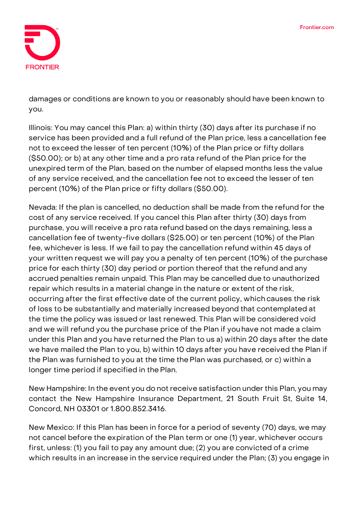

damages or conditions are known to you or reasonably should have been known to you.

**Illinois:** You may cancel this Plan: a) within thirty (30) days after its purchase if no service has been provided and a full refund of the Plan price, less a cancellation fee not to exceed the lesser of ten percent (10%) of the Plan price or fifty dollars (\$50.00); or b) at any other time and a pro rata refund of the Plan price for the unexpired term of the Plan, based on the number of elapsed months less the value of any service received, and the cancellation fee not to exceed the lesser of ten percent (10%) of the Plan price or fifty dollars (\$50.00).

**Nevada:** If the plan is cancelled, no deduction shall be made from the refund for the cost of any service received. If you cancel this Plan after thirty (30) days from purchase, you will receive a pro rata refund based on the days remaining, less a cancellation fee of twenty-five dollars (\$25.00) or ten percent (10%) of the Plan fee, whichever is less. If we fail to pay the cancellation refund within 45 days of your written request we will pay you a penalty of ten percent (10%) of the purchase price for each thirty (30) day period or portion thereof that the refund and any accrued penalties remain unpaid. This Plan may be cancelled due to unauthorized repair which results in a material change in the nature or extent of the risk, occurring after the first effective date of the current policy, which causes the risk of loss to be substantially and materially increased beyond that contemplated at the time the policy was issued or last renewed. This Plan will be considered void and we will refund you the purchase price of the Plan if youhave not made a claim under this Plan and you have returned the Plan to us a) within 20 days after the date we have mailed the Plan to you, b) within 10 days after you have received the Plan if the Plan was furnished to you at the time thePlan was purchased, or c) within a longer time period if specified in the Plan.

**New Hampshire:** In the event you do not receive satisfaction under this Plan, you may contact the New Hampshire Insurance Department, 21 South Fruit St, Suite 14, Concord, NH 03301 or 1.800.852.3416.

**New Mexico:** If this Plan has been in force for a period of seventy (70) days, we may not cancel before the expiration of the Plan term or one (1) year, whichever occurs first, unless: (1) you fail to pay any amount due; (2) you are convicted of a crime which results in an increase in the service required under the Plan; (3) you engage in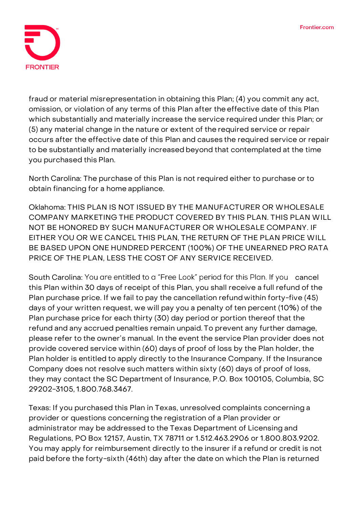

fraud or material misrepresentation in obtaining this Plan; (4) you commit any act, omission, or violation of any terms of this Plan after theeffective date of this Plan which substantially and materially increase the service required under this Plan; or (5) any material change in the nature or extent of the required service or repair occurs after the effective date of this Plan and causes the required service or repair to be substantially and materially increased beyond that contemplated at the time you purchased this Plan.

**North Carolina:** The purchase of this Plan is not required either to purchase or to obtain financing for a home appliance.

**Oklahoma:** THIS PLAN IS NOT ISSUED BY THE MANUFACTURER OR WHOLESALE COMPANY MARKETING THE PRODUCT COVERED BY THIS PLAN. THIS PLAN WILL NOT BE HONORED BY SUCH MANUFACTURER OR WHOLESALE COMPANY. IF EITHER YOU OR WE CANCEL THIS PLAN, THE RETURN OF THE PLAN PRICE WILL BE BASED UPON ONE HUNDRED PERCENT (100%) OF THE UNEARNED PRO RATA PRICE OF THE PLAN, LESS THE COST OF ANY SERVICE RECEIVED.

South Carolina: You are entitled to a "Free Look" period for this Plan. If you cancel this Plan within 30 days of receipt of this Plan, you shall receive a full refund of the Plan purchase price. If we fail to pay the cancellation refund within forty-five (45) days of your written request, we will pay you a penalty of ten percent (10%) of the Plan purchase price for each thirty (30) day period or portion thereof that the refund and any accrued penalties remain unpaid. To prevent any further damage, please refer to the owner's manual. In the event the service Plan provider does not provide covered service within (60) days of proof of loss by the Plan holder, the Plan holder is entitled to apply directly to the Insurance Company. If the Insurance Company does not resolve such matters within sixty (60) days of proof of loss, they may contact the SC Department of Insurance, P.O. Box 100105, Columbia, SC 29202-3105, 1.800.768.3467.

**Texas:** If you purchased this Plan in Texas, unresolved complaints concerning a provider or questions concerning the registration of a Plan provider or administrator may be addressed to the Texas Department of Licensing and Regulations, PO Box 12157, Austin, TX 78711 or 1.512.463.2906 or 1.800.803.9202. You may apply for reimbursement directly to the insurer if a refund or credit is not paid before the forty-sixth (46th) day after the date on which the Plan is returned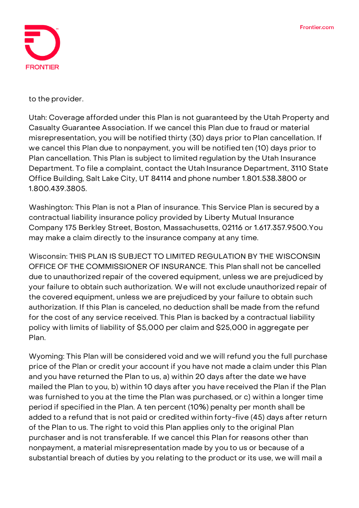

to the provider.

**Utah:** Coverage afforded under this Plan is not guaranteed by the Utah Property and Casualty Guarantee Association. If we cancel this Plan due to fraud or material misrepresentation, you will be notified thirty (30) days prior to Plan cancellation. If we cancel this Plan due to nonpayment, you will be notified ten (10) days prior to Plan cancellation. This Plan is subject to limited regulation by the Utah Insurance Department. To file a complaint, contact the Utah Insurance Department, 3110 State Office Building, Salt Lake City, UT 84114 and phone number 1.801.538.3800 or 1.800.439.3805.

**Washington:** This Plan is not a Plan of insurance. This Service Plan is secured by a contractual liability insurance policy provided by Liberty Mutual Insurance Company 175 Berkley Street, Boston, Massachusetts, 02116 or 1.617.357.9500.You may make a claim directly to the insurance company at any time.

**Wisconsin: THIS PLAN IS SUBJECT TO LIMITED REGULATION BY THE WISCONSIN OFFICE OF THE COMMISSIONER OF INSURANCE.** This Plan shall not be cancelled due to unauthorized repair of the covered equipment, unless we are prejudiced by your failure to obtain such authorization. We will not exclude unauthorized repair of the covered equipment, unless we are prejudiced by your failure to obtain such authorization. If this Plan is canceled, no deduction shall be made from the refund for the cost of any service received. This Plan is backed by a contractual liability policy with limits of liability of \$5,000 per claim and \$25,000 in aggregate per Plan.

**Wyoming:** This Plan will be considered void and we will refund you the full purchase price of the Plan or credit your account if you have not made a claim under this Plan and you have returned the Plan to us, a) within 20 days after the date we have mailed the Plan to you, b) within 10 days after you have received the Plan if the Plan was furnished to you at the time the Plan was purchased, or c) within a longer time period if specified in the Plan. A ten percent (10%) penalty per month shall be added to a refund that is not paid or credited within forty-five (45) days after return of the Plan to us. The right to void this Plan applies only to the original Plan purchaser and is not transferable. If we cancel this Plan for reasons other than nonpayment, a material misrepresentation made by you to us or because of a substantial breach of duties by you relating to the product or its use, we will mail a